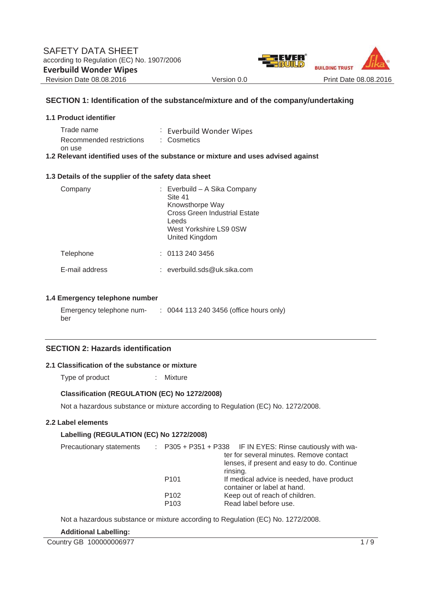

#### **SECTION 1: Identification of the substance/mixture and of the company/undertaking**

| <b>1.1 Product identifier</b>          |                                                                                   |
|----------------------------------------|-----------------------------------------------------------------------------------|
| Trade name<br>Recommended restrictions | : Everbuild Wonder Wipes<br>: Cosmetics                                           |
| on use                                 | 1.2 Relevant identified uses of the substance or mixture and uses advised against |

#### **1.3 Details of the supplier of the safety data sheet**

| Company        | : Everbuild – A Sika Company<br>Site 41<br>Knowsthorpe Way<br>Cross Green Industrial Estate<br>Leeds<br>West Yorkshire LS9 0SW<br>United Kingdom |  |
|----------------|--------------------------------------------------------------------------------------------------------------------------------------------------|--|
| Telephone      | : 01132403456                                                                                                                                    |  |
| E-mail address | : everbuild.sds@uk.sika.com                                                                                                                      |  |

#### **1.4 Emergency telephone number**

Emergency telephone num-: 0044 113 240 3456 (office hours only) ber

#### **SECTION 2: Hazards identification**

#### **2.1 Classification of the substance or mixture**

Type of product : Mixture

#### **Classification (REGULATION (EC) No 1272/2008)**

Not a hazardous substance or mixture according to Regulation (EC) No. 1272/2008.

#### **2.2 Label elements**

#### **Labelling (REGULATION (EC) No 1272/2008)**

| Precautionary statements |                  | $\therefore$ P305 + P351 + P338 IF IN EYES: Rinse cautiously with wa- |
|--------------------------|------------------|-----------------------------------------------------------------------|
|                          |                  | ter for several minutes. Remove contact                               |
|                          |                  | lenses, if present and easy to do. Continue                           |
|                          |                  | rinsing.                                                              |
|                          | P <sub>101</sub> | If medical advice is needed, have product                             |
|                          |                  | container or label at hand.                                           |
|                          | P <sub>102</sub> | Keep out of reach of children.                                        |
|                          | P <sub>103</sub> | Read label before use.                                                |

Not a hazardous substance or mixture according to Regulation (EC) No. 1272/2008.

**Additional Labelling:**

Country GB 100000006977 1/9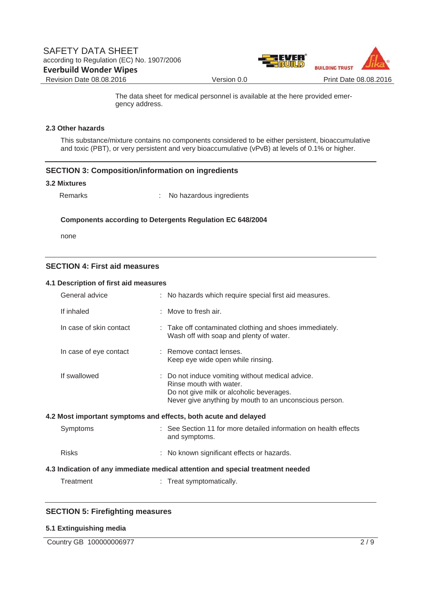

 The data sheet for medical personnel is available at the here provided emergency address.

#### **2.3 Other hazards**

This substance/mixture contains no components considered to be either persistent, bioaccumulative and toxic (PBT), or very persistent and very bioaccumulative (vPvB) at levels of 0.1% or higher.

#### **SECTION 3: Composition/information on ingredients**

#### **3.2 Mixtures**

Remarks : No hazardous ingredients

#### **Components according to Detergents Regulation EC 648/2004**

none

#### **SECTION 4: First aid measures**

#### **4.1 Description of first aid measures**

| General advice          | : No hazards which require special first aid measures.                                                                                                                            |
|-------------------------|-----------------------------------------------------------------------------------------------------------------------------------------------------------------------------------|
| If inhaled              | $:$ Move to fresh air.                                                                                                                                                            |
| In case of skin contact | : Take off contaminated clothing and shoes immediately.<br>Wash off with soap and plenty of water.                                                                                |
| In case of eye contact  | : Remove contact lenses.<br>Keep eye wide open while rinsing.                                                                                                                     |
| If swallowed            | : Do not induce vomiting without medical advice.<br>Rinse mouth with water.<br>Do not give milk or alcoholic beverages.<br>Never give anything by mouth to an unconscious person. |
|                         | 4.2 Most important symptoms and effects, both acute and delayed                                                                                                                   |
| Symptoms                | : See Section 11 for more detailed information on health effects<br>and symptoms.                                                                                                 |
| <b>Risks</b>            | : No known significant effects or hazards.                                                                                                                                        |
|                         | 4.3 Indication of any immediate medical attention and special treatment needed                                                                                                    |
| Treatment               | : Treat symptomatically.                                                                                                                                                          |

#### **SECTION 5: Firefighting measures**

#### **5.1 Extinguishing media**

Country GB 100000006977 2/9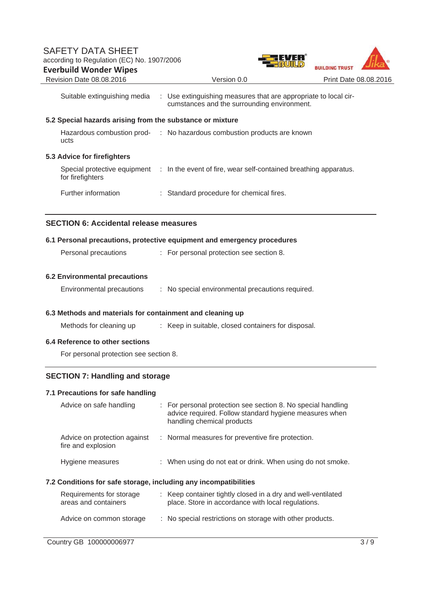

|                                                                  |  | Suitable extinguishing media : Use extinguishing measures that are appropriate to local cir-<br>cumstances and the surrounding environment.        |  |  |
|------------------------------------------------------------------|--|----------------------------------------------------------------------------------------------------------------------------------------------------|--|--|
| 5.2 Special hazards arising from the substance or mixture        |  |                                                                                                                                                    |  |  |
| ucts                                                             |  | Hazardous combustion prod- : No hazardous combustion products are known                                                                            |  |  |
| 5.3 Advice for firefighters                                      |  |                                                                                                                                                    |  |  |
| for firefighters                                                 |  | Special protective equipment : In the event of fire, wear self-contained breathing apparatus.                                                      |  |  |
| Further information                                              |  | : Standard procedure for chemical fires.                                                                                                           |  |  |
| <b>SECTION 6: Accidental release measures</b>                    |  |                                                                                                                                                    |  |  |
|                                                                  |  | 6.1 Personal precautions, protective equipment and emergency procedures                                                                            |  |  |
| Personal precautions                                             |  | : For personal protection see section 8.                                                                                                           |  |  |
| <b>6.2 Environmental precautions</b>                             |  |                                                                                                                                                    |  |  |
| Environmental precautions                                        |  | : No special environmental precautions required.                                                                                                   |  |  |
| 6.3 Methods and materials for containment and cleaning up        |  |                                                                                                                                                    |  |  |
| Methods for cleaning up                                          |  | : Keep in suitable, closed containers for disposal.                                                                                                |  |  |
| 6.4 Reference to other sections                                  |  |                                                                                                                                                    |  |  |
| For personal protection see section 8.                           |  |                                                                                                                                                    |  |  |
| <b>SECTION 7: Handling and storage</b>                           |  |                                                                                                                                                    |  |  |
| 7.1 Precautions for safe handling                                |  |                                                                                                                                                    |  |  |
| Advice on safe handling                                          |  | For personal protection see section 8. No special handling<br>advice required. Follow standard hygiene measures when<br>handling chemical products |  |  |
| Advice on protection against<br>fire and explosion               |  | Normal measures for preventive fire protection.                                                                                                    |  |  |
| Hygiene measures                                                 |  | : When using do not eat or drink. When using do not smoke.                                                                                         |  |  |
| 7.2 Conditions for safe storage, including any incompatibilities |  |                                                                                                                                                    |  |  |
| Requirements for storage<br>areas and containers                 |  | : Keep container tightly closed in a dry and well-ventilated<br>place. Store in accordance with local regulations.                                 |  |  |
| Advice on common storage                                         |  | : No special restrictions on storage with other products.                                                                                          |  |  |
|                                                                  |  |                                                                                                                                                    |  |  |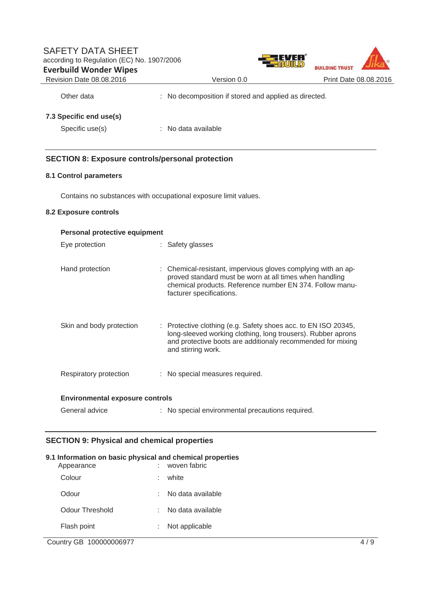## SAFETY DATA SHEET according to Regulation (EC) No. 1907/2006 **Everbuild Wonder Wipes**



Revision Date 08.08.2016 Version 0.0 Print Date 08.08.2016

Other data : No decomposition if stored and applied as directed.

## **7.3 Specific end use(s)**

Specific use(s) : No data available

### **SECTION 8: Exposure controls/personal protection**

#### **8.1 Control parameters**

Contains no substances with occupational exposure limit values.

#### **8.2 Exposure controls**

| <b>Personal protective equipment</b>   |  |                                                                                                                                                                                                                                |  |  |
|----------------------------------------|--|--------------------------------------------------------------------------------------------------------------------------------------------------------------------------------------------------------------------------------|--|--|
| Eye protection                         |  | : Safety glasses                                                                                                                                                                                                               |  |  |
| Hand protection                        |  | : Chemical-resistant, impervious gloves complying with an ap-<br>proved standard must be worn at all times when handling<br>chemical products. Reference number EN 374. Follow manu-<br>facturer specifications.               |  |  |
| Skin and body protection               |  | $\therefore$ Protective clothing (e.g. Safety shoes acc. to EN ISO 20345,<br>long-sleeved working clothing, long trousers). Rubber aprons<br>and protective boots are additionaly recommended for mixing<br>and stirring work. |  |  |
| Respiratory protection                 |  | : No special measures required.                                                                                                                                                                                                |  |  |
| <b>Environmental exposure controls</b> |  |                                                                                                                                                                                                                                |  |  |
| General advice                         |  | : No special environmental precautions required.                                                                                                                                                                               |  |  |

#### **SECTION 9: Physical and chemical properties**

# **9.1 Information on basic physical and chemical properties**  : woven fabric Colour : white Odour : No data available Odour Threshold : No data available Flash point : Not applicable

Country GB 100000006977 4 / 9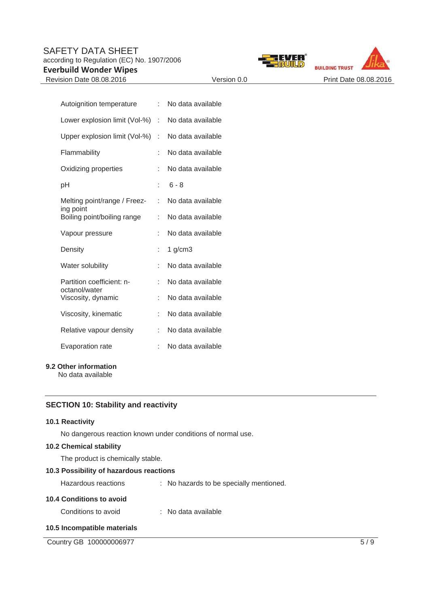## SAFETY DATA SHEET according to Regulation (EC) No. 1907/2006

**Everbuild Wonder Wipes**





| Autoignition temperature                   | t. | No data available |
|--------------------------------------------|----|-------------------|
| Lower explosion limit (Vol-%)              | t  | No data available |
| Upper explosion limit (Vol-%)              | t  | No data available |
| Flammability                               | t  | No data available |
| Oxidizing properties                       | t  | No data available |
| рH                                         | ÷  | $6 - 8$           |
| Melting point/range / Freez-<br>ing point  | t. | No data available |
| Boiling point/boiling range                | t. | No data available |
| Vapour pressure                            | ۰  | No data available |
| Density                                    | ÷  | $1$ g/cm $3$      |
| Water solubility                           |    | No data available |
| Partition coefficient: n-<br>octanol/water | t  | No data available |
| Viscosity, dynamic                         | ÷  | No data available |
| Viscosity, kinematic                       | ÷  | No data available |
| Relative vapour density                    | ł. | No data available |
| Evaporation rate                           | t  | No data available |
|                                            |    |                   |

#### **9.2 Other information**

No data available

## **SECTION 10: Stability and reactivity**

#### **10.1 Reactivity**

No dangerous reaction known under conditions of normal use.

## **10.2 Chemical stability**

The product is chemically stable.

## **10.3 Possibility of hazardous reactions**

| Hazardous reactions             | : No hazards to be specially mentioned. |
|---------------------------------|-----------------------------------------|
| <b>10.4 Conditions to avoid</b> |                                         |
| Conditions to avoid             | : No data available                     |

## **10.5 Incompatible materials**

Country GB 100000006977 5/9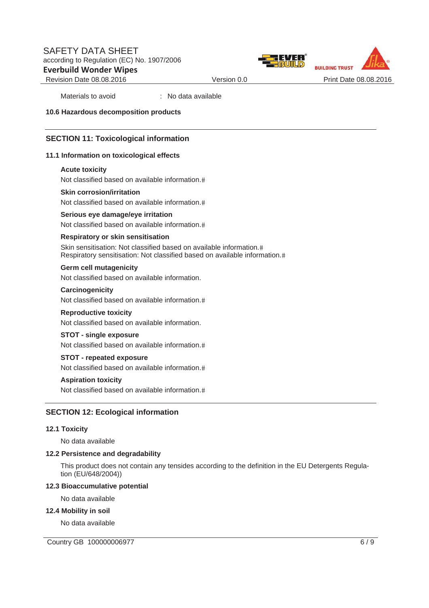



Materials to avoid : No data available

#### **10.6 Hazardous decomposition products**

#### **SECTION 11: Toxicological information**

#### **11.1 Information on toxicological effects**

#### **Acute toxicity**

Not classified based on available information.

#### **Skin corrosion/irritation**

Not classified based on available information.

#### **Serious eye damage/eye irritation**

Not classified based on available information.

#### **Respiratory or skin sensitisation**

Skin sensitisation: Not classified based on available information.# Respiratory sensitisation: Not classified based on available information.

#### **Germ cell mutagenicity**

Not classified based on available information.

**Carcinogenicity**  Not classified based on available information.

#### **Reproductive toxicity**

Not classified based on available information.

#### **STOT - single exposure**

Not classified based on available information.

#### **STOT - repeated exposure**

Not classified based on available information.

#### **Aspiration toxicity**

Not classified based on available information.

#### **SECTION 12: Ecological information**

#### **12.1 Toxicity**

No data available

#### **12.2 Persistence and degradability**

This product does not contain any tensides according to the definition in the EU Detergents Regulation (EU/648/2004))

#### **12.3 Bioaccumulative potential**

No data available

#### **12.4 Mobility in soil**

No data available

Country GB 100000006977 6/9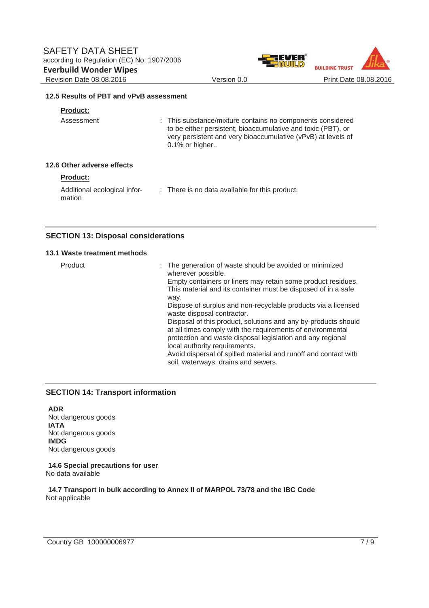

#### **12.5 Results of PBT and vPvB assessment**

### **Product:**

| Assessment                 | : This substance/mixture contains no components considered<br>to be either persistent, bioaccumulative and toxic (PBT), or<br>very persistent and very bioaccumulative (vPvB) at levels of<br>$0.1\%$ or higher |
|----------------------------|-----------------------------------------------------------------------------------------------------------------------------------------------------------------------------------------------------------------|
| 12.6 Other adverse effects |                                                                                                                                                                                                                 |

## **Product:**

Additional ecological infor-: There is no data available for this product. mation

### **SECTION 13: Disposal considerations**

#### **13.1 Waste treatment methods**

| Product | : The generation of waste should be avoided or minimized<br>wherever possible.<br>Empty containers or liners may retain some product residues.<br>This material and its container must be disposed of in a safe<br>way.<br>Dispose of surplus and non-recyclable products via a licensed<br>waste disposal contractor.<br>Disposal of this product, solutions and any by-products should<br>at all times comply with the requirements of environmental<br>protection and waste disposal legislation and any regional<br>local authority requirements.<br>Avoid dispersal of spilled material and runoff and contact with |
|---------|--------------------------------------------------------------------------------------------------------------------------------------------------------------------------------------------------------------------------------------------------------------------------------------------------------------------------------------------------------------------------------------------------------------------------------------------------------------------------------------------------------------------------------------------------------------------------------------------------------------------------|
|         | soil, waterways, drains and sewers.                                                                                                                                                                                                                                                                                                                                                                                                                                                                                                                                                                                      |

#### **SECTION 14: Transport information**

**ADR**  Not dangerous goods **IATA**  Not dangerous goods **IMDG**  Not dangerous goods

**14.6 Special precautions for user**  No data available

**14.7 Transport in bulk according to Annex II of MARPOL 73/78 and the IBC Code**  Not applicable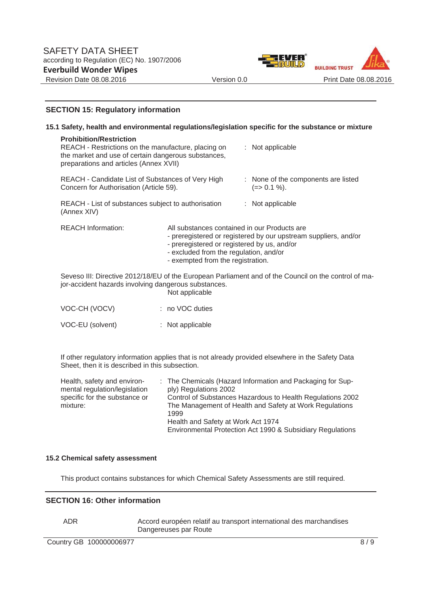

#### **SECTION 15: Regulatory information**

|  | 15.1 Safety, health and environmental regulations/legislation specific for the substance or mixture                                                                                                                                                                                                                                                          |                                                                                                                                                                            |  |                                                                                                      |  |
|--|--------------------------------------------------------------------------------------------------------------------------------------------------------------------------------------------------------------------------------------------------------------------------------------------------------------------------------------------------------------|----------------------------------------------------------------------------------------------------------------------------------------------------------------------------|--|------------------------------------------------------------------------------------------------------|--|
|  | <b>Prohibition/Restriction</b><br>REACH - Restrictions on the manufacture, placing on<br>the market and use of certain dangerous substances,<br>preparations and articles (Annex XVII)<br>REACH - Candidate List of Substances of Very High<br>Concern for Authorisation (Article 59).<br>REACH - List of substances subject to authorisation<br>(Annex XIV) |                                                                                                                                                                            |  | : Not applicable                                                                                     |  |
|  |                                                                                                                                                                                                                                                                                                                                                              |                                                                                                                                                                            |  | : None of the components are listed<br>$(=>0.1\%).$                                                  |  |
|  |                                                                                                                                                                                                                                                                                                                                                              |                                                                                                                                                                            |  | $:$ Not applicable                                                                                   |  |
|  | <b>REACH Information:</b>                                                                                                                                                                                                                                                                                                                                    | All substances contained in our Products are<br>- preregistered or registered by us, and/or<br>- excluded from the regulation, and/or<br>- exempted from the registration. |  | - preregistered or registered by our upstream suppliers, and/or                                      |  |
|  | jor-accident hazards involving dangerous substances.                                                                                                                                                                                                                                                                                                         | Not applicable                                                                                                                                                             |  | Seveso III: Directive 2012/18/EU of the European Parliament and of the Council on the control of ma- |  |
|  | VOC-CH (VOCV)                                                                                                                                                                                                                                                                                                                                                | : no VOC duties                                                                                                                                                            |  |                                                                                                      |  |

VOC-EU (solvent) : Not applicable

If other regulatory information applies that is not already provided elsewhere in the Safety Data Sheet, then it is described in this subsection.

| Health, safety and environ-   | : The Chemicals (Hazard Information and Packaging for Sup- |
|-------------------------------|------------------------------------------------------------|
| mental regulation/legislation | ply) Regulations 2002                                      |
| specific for the substance or | Control of Substances Hazardous to Health Regulations 2002 |
| mixture:                      | The Management of Health and Safety at Work Regulations    |
|                               | 1999                                                       |
|                               | Health and Safety at Work Act 1974                         |
|                               | Environmental Protection Act 1990 & Subsidiary Regulations |

#### **15.2 Chemical safety assessment**

This product contains substances for which Chemical Safety Assessments are still required.

#### **SECTION 16: Other information**

ADR Accord européen relatif au transport international des marchandises Dangereuses par Route

Country GB 100000006977 8/9